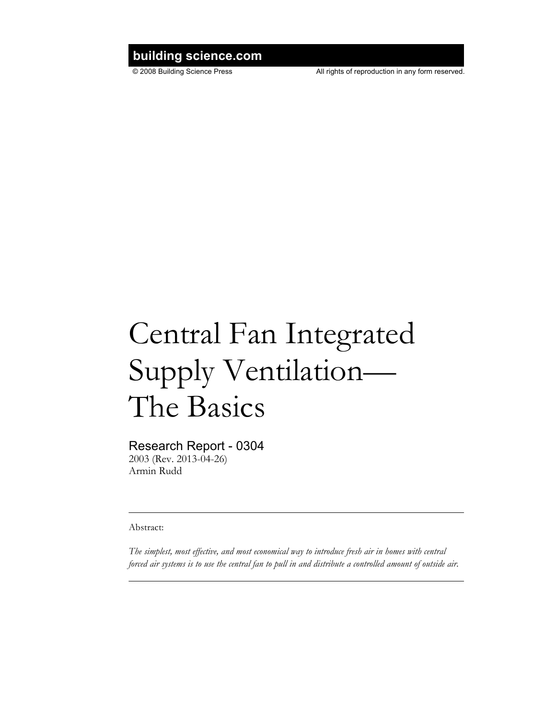# **building science.com**

© 2008 Building Science Press All rights of reproduction in any form reserved.

# Central Fan Integrated Supply Ventilation— The Basics

## Research Report - 0304

2003 (Rev. 2013-04-26) Armin Rudd

Abstract:

*The simplest, most effective, and most economical way to introduce fresh air in homes with central forced air systems is to use the central fan to pull in and distribute a controlled amount of outside air.*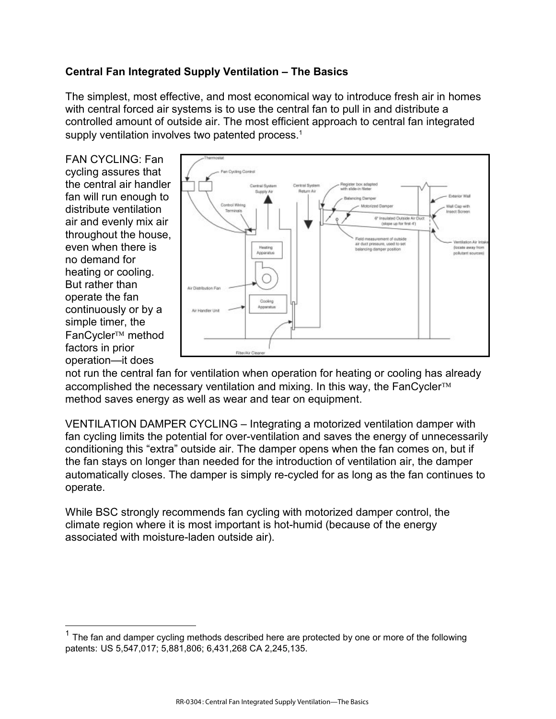### **Central Fan Integrated Supply Ventilation – The Basics**

The simplest, most effective, and most economical way to introduce fresh air in homes with central forced air systems is to use the central fan to pull in and distribute a controlled amount of outside air. The most efficient approach to central fan integrated supply ventilation involves two patented process.<sup>1</sup>

FAN CYCLING: Fan cycling assures that the central air handler fan will run enough to distribute ventilation air and evenly mix air throughout the house, even when there is no demand for heating or cooling. But rather than operate the fan continuously or by a simple timer, the FanCycler<sup>™</sup> method factors in prior operation—it does

 $\overline{a}$ 



not run the central fan for ventilation when operation for heating or cooling has already accomplished the necessary ventilation and mixing. In this way, the FanCycler<sup>TM</sup> method saves energy as well as wear and tear on equipment.

VENTILATION DAMPER CYCLING – Integrating a motorized ventilation damper with fan cycling limits the potential for over-ventilation and saves the energy of unnecessarily conditioning this "extra" outside air. The damper opens when the fan comes on, but if the fan stays on longer than needed for the introduction of ventilation air, the damper automatically closes. The damper is simply re-cycled for as long as the fan continues to operate.

While BSC strongly recommends fan cycling with motorized damper control, the climate region where it is most important is hot-humid (because of the energy associated with moisture-laden outside air).

 $1$  The fan and damper cycling methods described here are protected by one or more of the following patents: US 5,547,017; 5,881,806; 6,431,268 CA 2,245,135.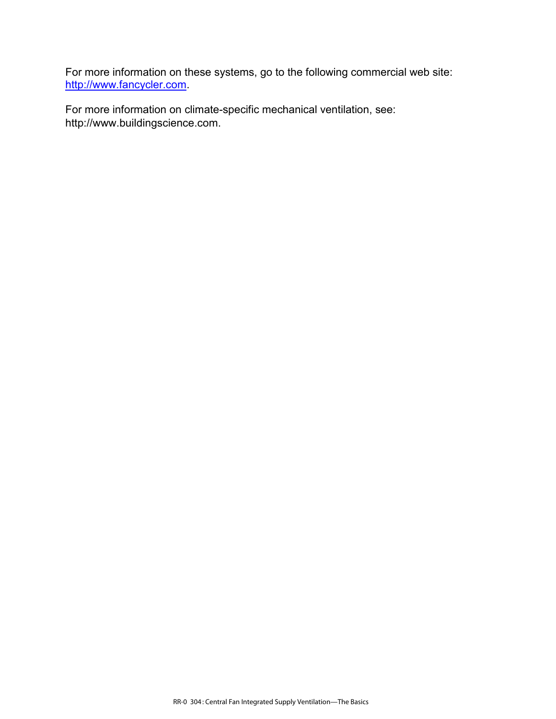For more information on these systems, go to the following commercial web site: [http://www.fancycler.com.](http://www.fancycler.com)

For more information on climate-specific mechanical ventilation, see: [http://www.buildingscience.com.](http://www.buildingscience.com)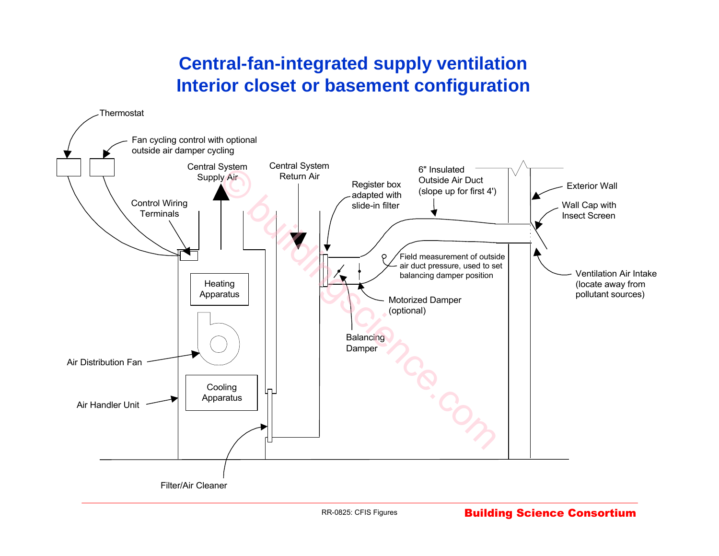# **Central-fan-integrated supply ventilation Interior closet or basement configuration**

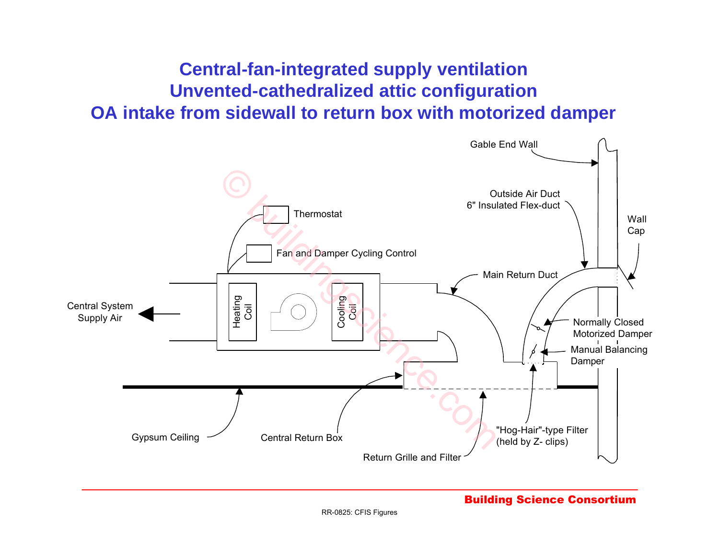# **Central-fan-integrated supply ventilation Unvented-cathedralized attic configuration OA intake from sidewall to return box with motorized damper**

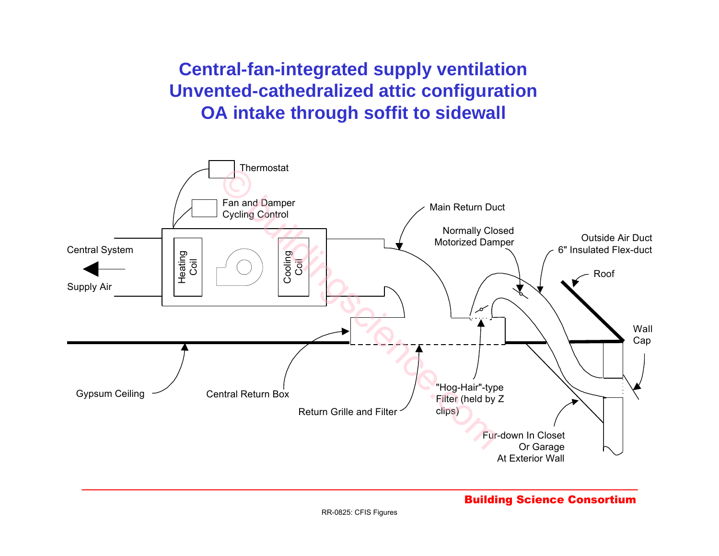**Central-fan-integrated supply ventilation Unvented-cathedralized attic configuration OA intake through soffit to sidewall**



### Building Science Consortium

RR-0825: CFIS Figures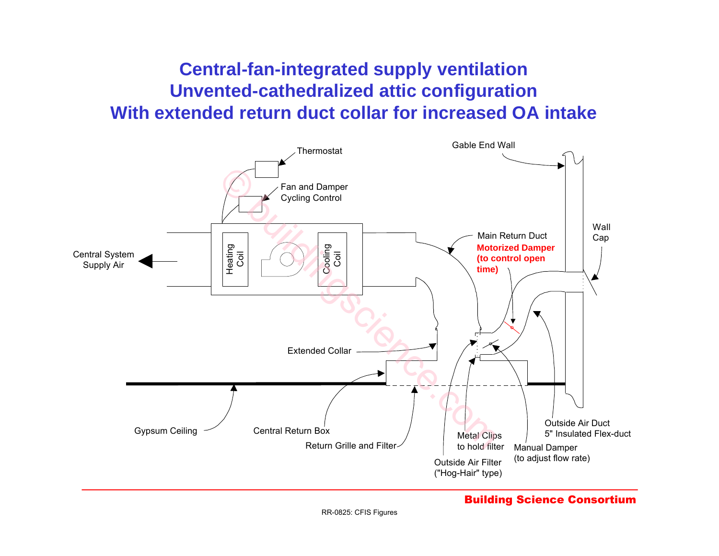# **Central-fan-integrated supply ventilation Unvented-cathedralized attic configuration With extended return duct collar for increased OA intake**

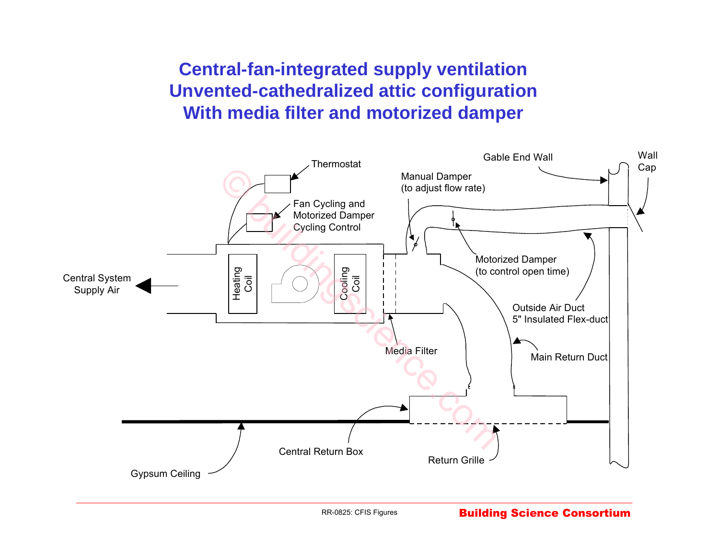# **Central-fan-integrated supply ventilation Unvented-cathedralized attic configuration With media filter and motorized damper**

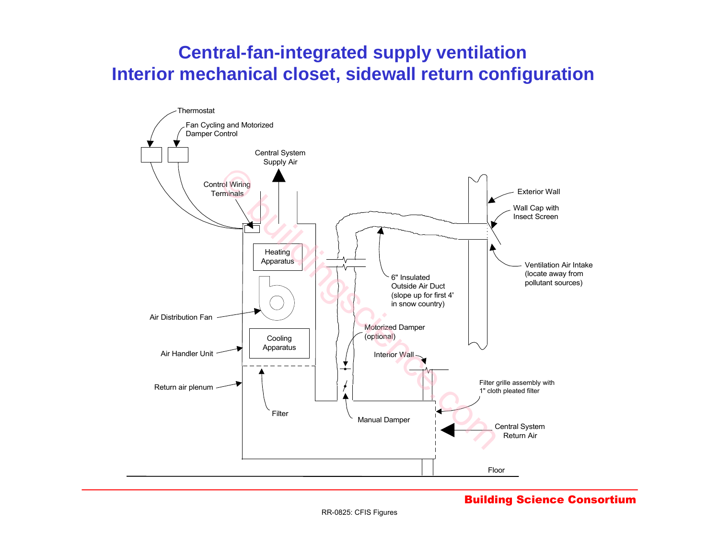# **Central-fan-integrated supply ventilation Interior mechanical closet, sidewall return configuration**

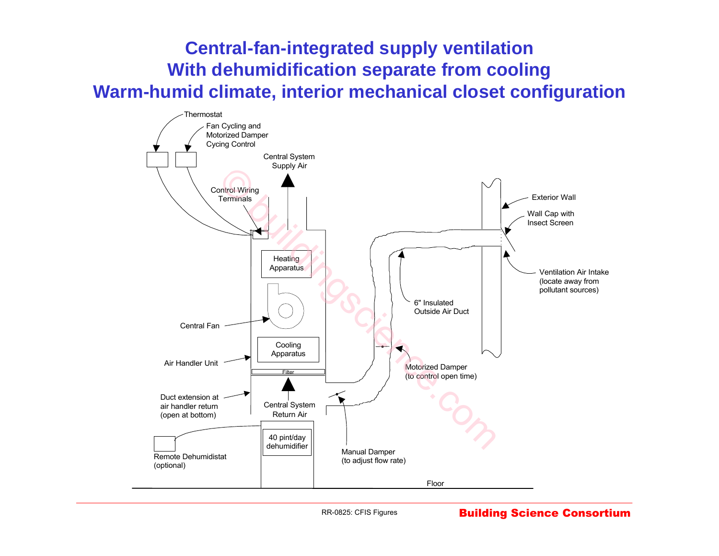# **Central-fan-integrated supply ventilation With dehumidification separate from cooling Warm-humid climate, interior mechanical closet configuration**



RR-0825: CFIS Figures